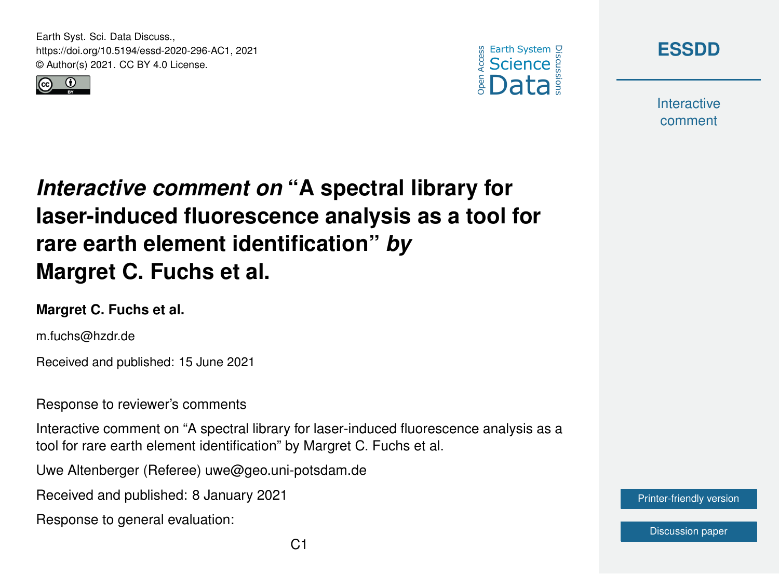Earth Syst. Sci. Data Discuss., https://doi.org/10.5194/essd-2020-296-AC1, 2021 © Author(s) 2021. CC BY 4.0 License.







**Interactive** comment

## *Interactive comment on* **"A spectral library for laser-induced fluorescence analysis as a tool for rare earth element identification"** *by* **Margret C. Fuchs et al.**

## **Margret C. Fuchs et al.**

m.fuchs@hzdr.de

Received and published: 15 June 2021

Response to reviewer's comments

Interactive comment on "A spectral library for laser-induced fluorescence analysis as a tool for rare earth element identification" by Margret C. Fuchs et al.

Uwe Altenberger (Referee) uwe@geo.uni-potsdam.de

Received and published: 8 January 2021

Response to general evaluation:

[Printer-friendly version](https://essd.copernicus.org/preprints/essd-2020-296/essd-2020-296-AC1-print.pdf)

[Discussion paper](https://essd.copernicus.org/preprints/essd-2020-296)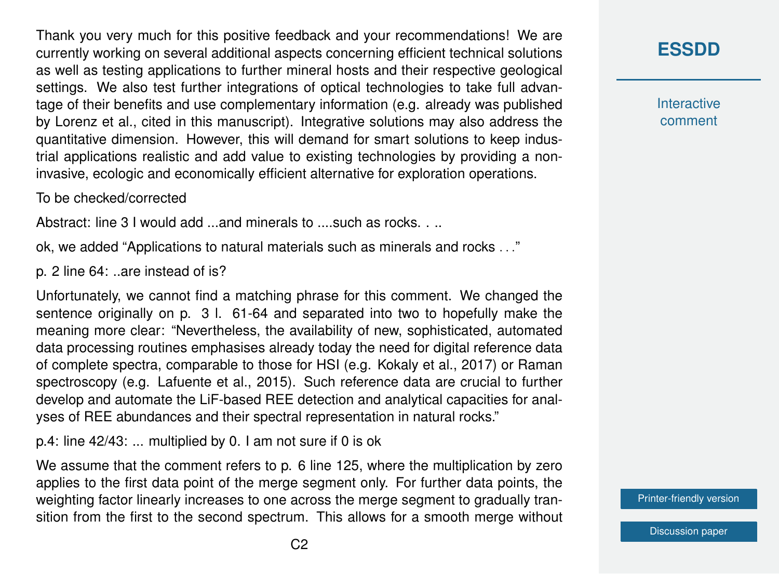Thank you very much for this positive feedback and your recommendations! We are currently working on several additional aspects concerning efficient technical solutions as well as testing applications to further mineral hosts and their respective geological settings. We also test further integrations of optical technologies to take full advantage of their benefits and use complementary information (e.g. already was published by Lorenz et al., cited in this manuscript). Integrative solutions may also address the quantitative dimension. However, this will demand for smart solutions to keep industrial applications realistic and add value to existing technologies by providing a noninvasive, ecologic and economically efficient alternative for exploration operations.

To be checked/corrected

Abstract: line 3 I would add ...and minerals to ....such as rocks. . ..

ok, we added "Applications to natural materials such as minerals and rocks . . ."

p. 2 line 64: ..are instead of is?

Unfortunately, we cannot find a matching phrase for this comment. We changed the sentence originally on p. 3 l. 61-64 and separated into two to hopefully make the meaning more clear: "Nevertheless, the availability of new, sophisticated, automated data processing routines emphasises already today the need for digital reference data of complete spectra, comparable to those for HSI (e.g. Kokaly et al., 2017) or Raman spectroscopy (e.g. Lafuente et al., 2015). Such reference data are crucial to further develop and automate the LiF-based REE detection and analytical capacities for analyses of REE abundances and their spectral representation in natural rocks."

p.4: line 42/43: ... multiplied by 0. I am not sure if 0 is ok

We assume that the comment refers to p. 6 line 125, where the multiplication by zero applies to the first data point of the merge segment only. For further data points, the weighting factor linearly increases to one across the merge segment to gradually transition from the first to the second spectrum. This allows for a smooth merge without **Interactive** comment

[Printer-friendly version](https://essd.copernicus.org/preprints/essd-2020-296/essd-2020-296-AC1-print.pdf)

[Discussion paper](https://essd.copernicus.org/preprints/essd-2020-296)